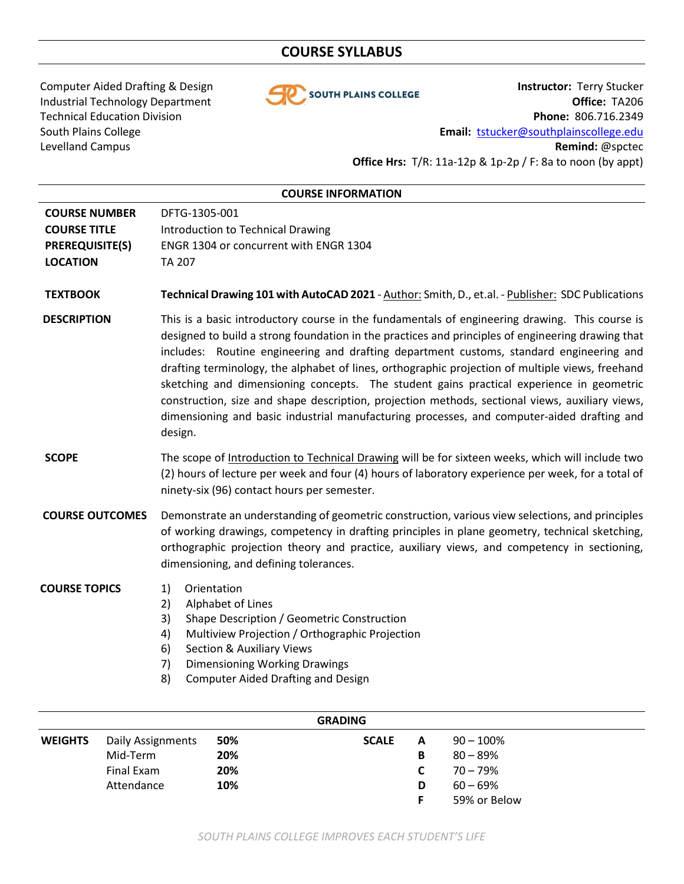# **COURSE SYLLABUS**



Computer Aided Drafting & Design **Instructor:** Terry Stucker Industrial Technology Department **Office: TA206** Technical Education Division **Phone:** 806.716.2349 South Plains College **Email:** [tstucker@southplainscollege.edu](mailto:tstucker@southplainscollege.edu) Levelland Campus **Remind:** @spctec **Office Hrs:** T/R: 11a-12p & 1p-2p / F: 8a to noon (by appt)

|                                                                                          | <b>COURSE INFORMATION</b>                                                                                                                                                                                                                                                                                                                                                                                                                                                                                                                                                                                                                                                                                  |  |  |
|------------------------------------------------------------------------------------------|------------------------------------------------------------------------------------------------------------------------------------------------------------------------------------------------------------------------------------------------------------------------------------------------------------------------------------------------------------------------------------------------------------------------------------------------------------------------------------------------------------------------------------------------------------------------------------------------------------------------------------------------------------------------------------------------------------|--|--|
| <b>COURSE NUMBER</b><br><b>COURSE TITLE</b><br><b>PREREQUISITE(S)</b><br><b>LOCATION</b> | DFTG-1305-001<br>Introduction to Technical Drawing<br>ENGR 1304 or concurrent with ENGR 1304<br><b>TA 207</b>                                                                                                                                                                                                                                                                                                                                                                                                                                                                                                                                                                                              |  |  |
| <b>TEXTBOOK</b>                                                                          | Technical Drawing 101 with AutoCAD 2021 - Author: Smith, D., et.al. - Publisher: SDC Publications                                                                                                                                                                                                                                                                                                                                                                                                                                                                                                                                                                                                          |  |  |
| <b>DESCRIPTION</b>                                                                       | This is a basic introductory course in the fundamentals of engineering drawing. This course is<br>designed to build a strong foundation in the practices and principles of engineering drawing that<br>includes: Routine engineering and drafting department customs, standard engineering and<br>drafting terminology, the alphabet of lines, orthographic projection of multiple views, freehand<br>sketching and dimensioning concepts. The student gains practical experience in geometric<br>construction, size and shape description, projection methods, sectional views, auxiliary views,<br>dimensioning and basic industrial manufacturing processes, and computer-aided drafting and<br>design. |  |  |
| <b>SCOPE</b>                                                                             | The scope of Introduction to Technical Drawing will be for sixteen weeks, which will include two<br>(2) hours of lecture per week and four (4) hours of laboratory experience per week, for a total of<br>ninety-six (96) contact hours per semester.                                                                                                                                                                                                                                                                                                                                                                                                                                                      |  |  |
| <b>COURSE OUTCOMES</b>                                                                   | Demonstrate an understanding of geometric construction, various view selections, and principles<br>of working drawings, competency in drafting principles in plane geometry, technical sketching,<br>orthographic projection theory and practice, auxiliary views, and competency in sectioning,<br>dimensioning, and defining tolerances.                                                                                                                                                                                                                                                                                                                                                                 |  |  |
| <b>COURSE TOPICS</b>                                                                     | Orientation<br>1)<br>Alphabet of Lines<br>2)<br>3)<br>Shape Description / Geometric Construction<br>4)<br>Multiview Projection / Orthographic Projection<br><b>Section &amp; Auxiliary Views</b><br>6)<br>7)<br><b>Dimensioning Working Drawings</b><br>8)<br><b>Computer Aided Drafting and Design</b>                                                                                                                                                                                                                                                                                                                                                                                                    |  |  |
|                                                                                          | <b>GRADING</b>                                                                                                                                                                                                                                                                                                                                                                                                                                                                                                                                                                                                                                                                                             |  |  |
| <b>WEIGHTS</b><br><b>Daily Assignments</b>                                               | 50%<br>$90 - 100%$<br><b>SCALE</b><br>A                                                                                                                                                                                                                                                                                                                                                                                                                                                                                                                                                                                                                                                                    |  |  |

| WEIGHTS | Daily Assignments | 50% | <b>SCALE</b> | A  | $90 - 100\%$ |
|---------|-------------------|-----|--------------|----|--------------|
|         | Mid-Term          | 20% |              | в  | $80 - 89%$   |
|         | Final Exam        | 20% |              | C  | $70 - 79\%$  |
|         | Attendance        | 10% |              | D  | $60 - 69\%$  |
|         |                   |     |              | Е. | 59% or Below |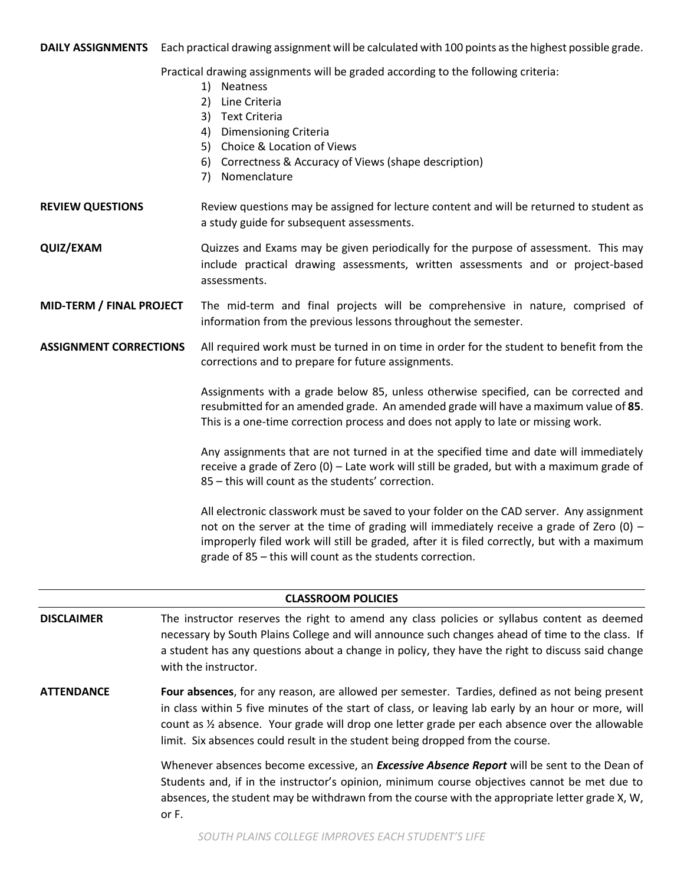**DAILY ASSIGNMENTS** Each practical drawing assignment will be calculated with 100 points as the highest possible grade.

Practical drawing assignments will be graded according to the following criteria:

- 1) Neatness
- 2) Line Criteria
- 3) Text Criteria
- 4) Dimensioning Criteria
- 5) Choice & Location of Views
- 6) Correctness & Accuracy of Views (shape description)
- 7) Nomenclature

**REVIEW QUESTIONS** Review questions may be assigned for lecture content and will be returned to student as a study guide for subsequent assessments.

**QUIZ/EXAM** Quizzes and Exams may be given periodically for the purpose of assessment. This may include practical drawing assessments, written assessments and or project-based assessments.

**MID-TERM / FINAL PROJECT** The mid-term and final projects will be comprehensive in nature, comprised of information from the previous lessons throughout the semester.

**ASSIGNMENT CORRECTIONS** All required work must be turned in on time in order for the student to benefit from the corrections and to prepare for future assignments.

> Assignments with a grade below 85, unless otherwise specified, can be corrected and resubmitted for an amended grade. An amended grade will have a maximum value of **85**. This is a one-time correction process and does not apply to late or missing work.

> Any assignments that are not turned in at the specified time and date will immediately receive a grade of Zero (0) – Late work will still be graded, but with a maximum grade of 85 – this will count as the students' correction.

> All electronic classwork must be saved to your folder on the CAD server. Any assignment not on the server at the time of grading will immediately receive a grade of Zero  $(0)$  – improperly filed work will still be graded, after it is filed correctly, but with a maximum grade of 85 – this will count as the students correction.

| <b>CLASSROOM POLICIES</b> |                                                                                                                                                                                                                                                                                                                                                                                            |  |  |  |
|---------------------------|--------------------------------------------------------------------------------------------------------------------------------------------------------------------------------------------------------------------------------------------------------------------------------------------------------------------------------------------------------------------------------------------|--|--|--|
| <b>DISCLAIMER</b>         | The instructor reserves the right to amend any class policies or syllabus content as deemed<br>necessary by South Plains College and will announce such changes ahead of time to the class. If<br>a student has any questions about a change in policy, they have the right to discuss said change<br>with the instructor.                                                                 |  |  |  |
| <b>ATTENDANCE</b>         | Four absences, for any reason, are allowed per semester. Tardies, defined as not being present<br>in class within 5 five minutes of the start of class, or leaving lab early by an hour or more, will<br>count as 1/2 absence. Your grade will drop one letter grade per each absence over the allowable<br>limit. Six absences could result in the student being dropped from the course. |  |  |  |
|                           | Whenever absences become excessive, an <i>Excessive Absence Report</i> will be sent to the Dean of<br>Students and, if in the instructor's opinion, minimum course objectives cannot be met due to<br>absences, the student may be withdrawn from the course with the appropriate letter grade X, W,<br>or F.                                                                              |  |  |  |